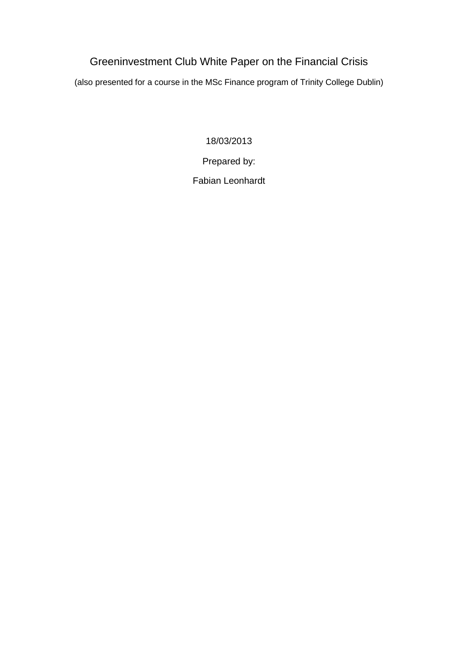# Greeninvestment Club White Paper on the Financial Crisis

(also presented for a course in the MSc Finance program of Trinity College Dublin)

18/03/2013

Prepared by:

Fabian Leonhardt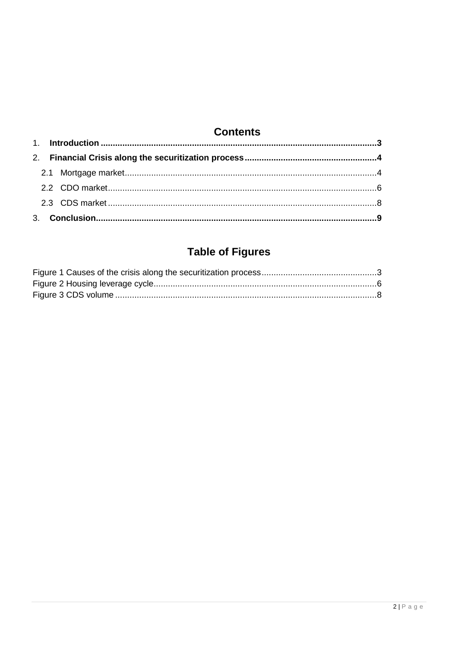# **Contents**

# **Table of Figures**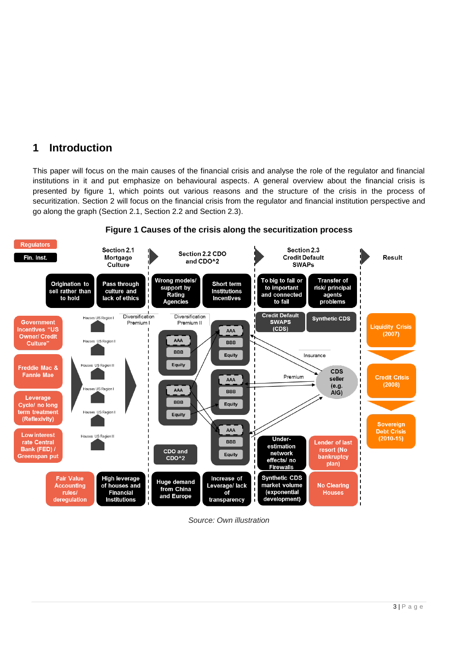## <span id="page-2-0"></span>**1 Introduction**

This paper will focus on the main causes of the financial crisis and analyse the role of the regulator and financial institutions in it and put emphasize on behavioural aspects. A general overview about the financial crisis is presented by figure 1, which points out various reasons and the structure of the crisis in the process of securitization. Section 2 will focus on the financial crisis from the regulator and financial institution perspective and go along the graph (Section 2.1, Section 2.2 and Section 2.3).

<span id="page-2-1"></span>

#### **Figure 1 Causes of the crisis along the securitization process**

*Source: Own illustration*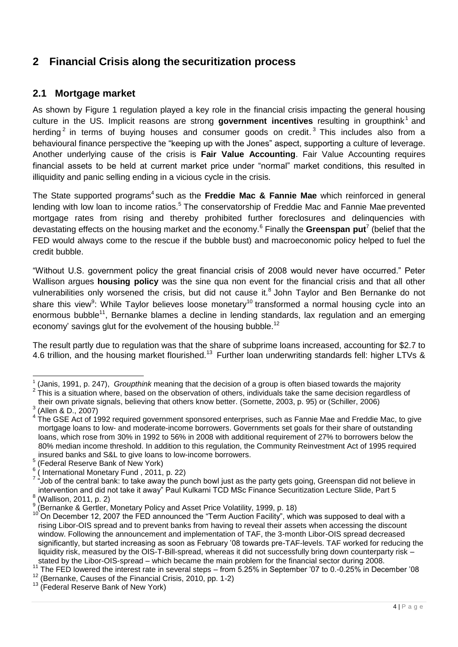## <span id="page-3-0"></span>**2 Financial Crisis along the securitization process**

### <span id="page-3-1"></span>**2.1 Mortgage market**

As shown by Figure 1 regulation played a key role in the financial crisis impacting the general housing culture in the US. Implicit reasons are strong government incentives resulting in groupthink<sup>1</sup> and herding<sup>2</sup> in terms of buying houses and consumer goods on credit.<sup>3</sup> This includes also from a behavioural finance perspective the "keeping up with the Jones" aspect, supporting a culture of leverage. Another underlying cause of the crisis is **Fair Value Accounting**. Fair Value Accounting requires financial assets to be held at current market price under "normal" market conditions, this resulted in illiquidity and panic selling ending in a vicious cycle in the crisis.

The State supported programs<sup>4</sup> such as the Freddie Mac & Fannie Mae which reinforced in general lending with low loan to income ratios.<sup>5</sup> The conservatorship of Freddie Mac and Fannie Mae prevented mortgage rates from rising and thereby prohibited further foreclosures and delinquencies with devastating effects on the housing market and the economy.<sup>6</sup> Finally the **Greenspan put**<sup>7</sup> (belief that the FED would always come to the rescue if the bubble bust) and macroeconomic policy helped to fuel the credit bubble.

"Without U.S. government policy the great financial crisis of 2008 would never have occurred." Peter Wallison argues **housing policy** was the sine qua non event for the financial crisis and that all other vulnerabilities only worsened the crisis, but did not cause it.<sup>8</sup> John Taylor and Ben Bernanke do not share this view<sup>9</sup>: While Taylor believes loose monetary<sup>10</sup> transformed a normal housing cycle into an enormous bubble<sup>11</sup>, Bernanke blames a decline in lending standards, lax regulation and an emerging economy' savings glut for the evolvement of the housing bubble.<sup>12</sup>

The result partly due to regulation was that the share of subprime loans increased, accounting for \$2.7 to 4.6 trillion, and the housing market flourished.<sup>13</sup> Further loan underwriting standards fell: higher LTVs &

 1 (Janis, 1991, p. 247), *Groupthink* meaning that the decision of a group is often biased towards the majority

 $2$  This is a situation where, based on the observation of others, individuals take the same decision regardless of their own private signals, believing that others know better. (Sornette, 2003, p. 95) or (Schiller, 2006)

 $3$  (Allen & D., 2007)

 $4$  The GSE Act of 1992 required government sponsored enterprises, such as Fannie Mae and Freddie Mac, to give mortgage loans to low- and moderate-income borrowers. Governments set goals for their share of outstanding loans, which rose from 30% in 1992 to 56% in 2008 with additional requirement of 27% to borrowers below the 80% median income threshold. In addition to this regulation, the Community Reinvestment Act of 1995 required insured banks and S&L to give loans to low-income borrowers.

<sup>5</sup> (Federal Reserve Bank of New York)

 $^6$  ( International Monetary Fund , 2011, p. 22)<br><sup>7</sup> "Job of the central bank: to take away the punch bowl just as the party gets going, Greenspan did not believe in intervention and did not take it away" Paul Kulkarni TCD MSc Finance Securitization Lecture Slide, Part 5

 $^8$  (Wallison, 2011, p. 2)

<sup>&</sup>lt;sup>9</sup> (Bernanke & Gertler, Monetary Policy and Asset Price Volatility, 1999, p. 18)

<sup>&</sup>lt;sup>10</sup> On December 12, 2007 the FED announced the "Term Auction Facility", which was supposed to deal with a rising Libor-OIS spread and to prevent banks from having to reveal their assets when accessing the discount window. Following the announcement and implementation of TAF, the 3-month Libor-OIS spread decreased significantly, but started increasing as soon as February '08 towards pre-TAF-levels. TAF worked for reducing the liquidity risk, measured by the OIS-T-Bill-spread, whereas it did not successfully bring down counterparty risk – stated by the Libor-OIS-spread – which became the main problem for the financial sector during 2008.

<sup>11</sup> The FED lowered the interest rate in several steps – from 5.25% in September '07 to 0.-0.25% in December '08

<sup>&</sup>lt;sup>12</sup> (Bernanke, Causes of the Financial Crisis, 2010, pp. 1-2)

<sup>&</sup>lt;sup>13</sup> (Federal Reserve Bank of New York)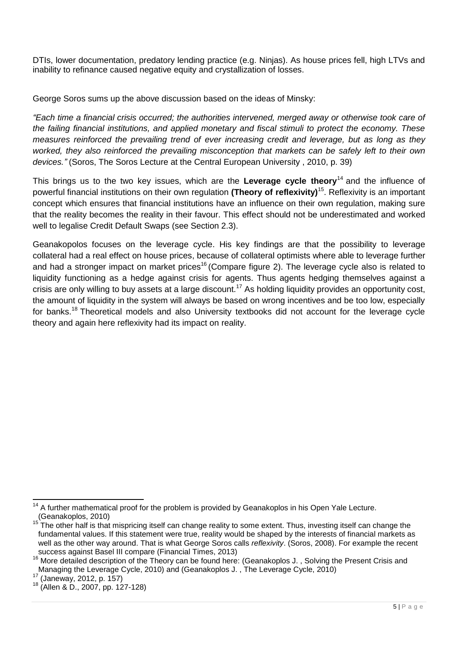DTIs, lower documentation, predatory lending practice (e.g. Ninjas). As house prices fell, high LTVs and inability to refinance caused negative equity and crystallization of losses.

George Soros sums up the above discussion based on the ideas of Minsky:

*"Each time a financial crisis occurred; the authorities intervened, merged away or otherwise took care of the failing financial institutions, and applied monetary and fiscal stimuli to protect the economy. These measures reinforced the prevailing trend of ever increasing credit and leverage, but as long as they worked, they also reinforced the prevailing misconception that markets can be safely left to their own devices."* (Soros, The Soros Lecture at the Central European University , 2010, p. 39)

This brings us to the two key issues, which are the **Leverage cycle theory**<sup>14</sup> and the influence of powerful financial institutions on their own regulation **(Theory of reflexivity)**<sup>15</sup> . Reflexivity is an important concept which ensures that financial institutions have an influence on their own regulation, making sure that the reality becomes the reality in their favour. This effect should not be underestimated and worked well to legalise Credit Default Swaps (see Section 2.3).

Geanakopolos focuses on the leverage cycle. His key findings are that the possibility to leverage collateral had a real effect on house prices, because of collateral optimists where able to leverage further and had a stronger impact on market prices<sup>16</sup> (Compare figure 2). The leverage cycle also is related to liquidity functioning as a hedge against crisis for agents. Thus agents hedging themselves against a crisis are only willing to buy assets at a large discount.<sup>17</sup> As holding liquidity provides an opportunity cost, the amount of liquidity in the system will always be based on wrong incentives and be too low, especially for banks.<sup>18</sup> Theoretical models and also University textbooks did not account for the leverage cycle theory and again here reflexivity had its impact on reality.

 $\overline{a}$ 

 $14$  A further mathematical proof for the problem is provided by Geanakoplos in his Open Yale Lecture. (Geanakoplos, 2010)

The other half is that mispricing itself can change reality to some extent. Thus, investing itself can change the fundamental values. If this statement were true, reality would be shaped by the interests of financial markets as well as the other way around. That is what George Soros calls *reflexivity*. (Soros, 2008). For example the recent success against Basel III compare (Financial Times, 2013)

<sup>&</sup>lt;sup>16</sup> More detailed description of the Theory can be found here: (Geanakoplos J., Solving the Present Crisis and Managing the Leverage Cycle, 2010) and (Geanakoplos J. , The Leverage Cycle, 2010)

 $^{17}$  (Janeway, 2012, p. 157)

<sup>18 (</sup>Allen & D., 2007, pp. 127-128)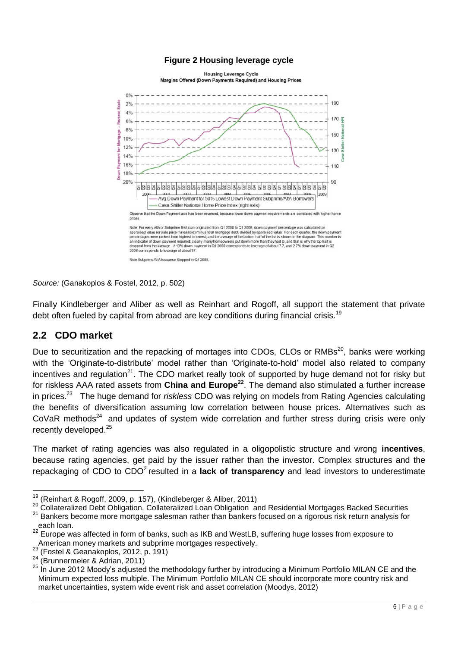<span id="page-5-1"></span>

#### **Figure 2 Housing leverage cycle**

*Source:* (Ganakoplos & Fostel, 2012, p. 502)

Finally Kindleberger and Aliber as well as Reinhart and Rogoff, all support the statement that private debt often fueled by capital from abroad are key conditions during financial crisis.<sup>19</sup>

#### <span id="page-5-0"></span>**2.2 CDO market**

Due to securitization and the repacking of mortages into CDOs, CLOs or RMBs<sup>20</sup>, banks were working with the 'Originate-to-distribute' model rather than 'Originate-to-hold' model also related to company incentives and regulation<sup>21</sup>. The CDO market really took of supported by huge demand not for risky but for riskless AAA rated assets from **China and Europe<sup>22</sup>** . The demand also stimulated a further increase in prices.<sup>23</sup> The huge demand for *riskless* CDO was relying on models from Rating Agencies calculating the benefits of diversification assuming low correlation between house prices. Alternatives such as CoVaR methods<sup>24</sup> and updates of system wide correlation and further stress during crisis were only recently developed.<sup>25</sup>

The market of rating agencies was also regulated in a oligopolistic structure and wrong **incentives**, because rating agencies, get paid by the issuer rather than the investor. Complex structures and the repackaging of CDO to CDO<sup>2</sup> resulted in a **lack of transparency** and lead investors to underestimate

<sup>19</sup> (Reinhart & Rogoff, 2009, p. 157), (Kindleberger & Aliber, 2011)

<sup>20</sup> Collateralized Debt Obligation, Collateralized Loan Obligation and Residential Mortgages Backed Securities <sup>21</sup> Bankers become more mortgage salesman rather than bankers focused on a rigorous risk return analysis for each loan.

<sup>22</sup> Europe was affected in form of banks, such as IKB and WestLB, suffering huge losses from exposure to American money markets and subprime mortgages respectively.

<sup>&</sup>lt;sup>23</sup> (Fostel & Geanakoplos, 2012, p. 191)

 $24$  (Brunnermeier & Adrian, 2011)

<sup>&</sup>lt;sup>25</sup> In June 2012 Moody's adjusted the methodology further by introducing a Minimum Portfolio MILAN CE and the Minimum expected loss multiple. The Minimum Portfolio MILAN CE should incorporate more country risk and market uncertainties, system wide event risk and asset correlation (Moodys, 2012)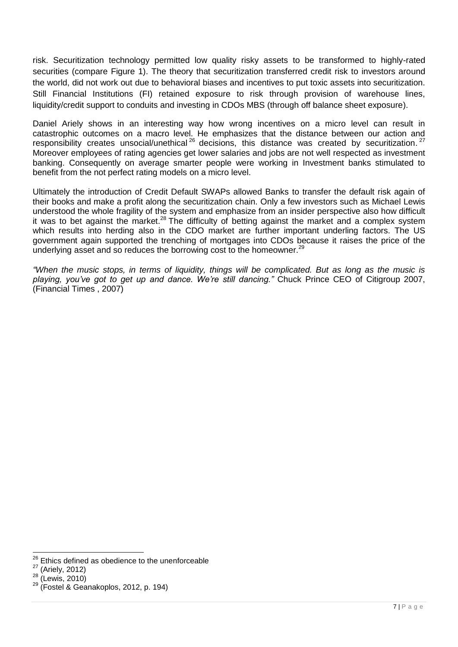risk. Securitization technology permitted low quality risky assets to be transformed to highly-rated securities (compare Figure 1). The theory that securitization transferred credit risk to investors around the world, did not work out due to behavioral biases and incentives to put toxic assets into securitization. Still Financial Institutions (FI) retained exposure to risk through provision of warehouse lines, liquidity/credit support to conduits and investing in CDOs MBS (through off balance sheet exposure).

Daniel Ariely shows in an interesting way how wrong incentives on a micro level can result in catastrophic outcomes on a macro level. He emphasizes that the distance between our action and responsibility creates unsocial/unethical<sup>26</sup> decisions, this distance was created by securitization.<sup>27</sup> Moreover employees of rating agencies get lower salaries and jobs are not well respected as investment banking. Consequently on average smarter people were working in Investment banks stimulated to benefit from the not perfect rating models on a micro level.

Ultimately the introduction of Credit Default SWAPs allowed Banks to transfer the default risk again of their books and make a profit along the securitization chain. Only a few investors such as Michael Lewis understood the whole fragility of the system and emphasize from an insider perspective also how difficult it was to bet against the market.<sup>28</sup> The difficulty of betting against the market and a complex system which results into herding also in the CDO market are further important underling factors. The US government again supported the trenching of mortgages into CDOs because it raises the price of the underlying asset and so reduces the borrowing cost to the homeowner.<sup>29</sup>

*"When the music stops, in terms of liquidity, things will be complicated. But as long as the music is playing, you've got to get up and dance. We're still dancing."* Chuck Prince CEO of Citigroup 2007, (Financial Times , 2007)

<sup>26</sup> Ethics defined as obedience to the unenforceable

 $27$  (Ariely, 2012)

<sup>28</sup> (Lewis, 2010)

 $29$  (Fostel & Geanakoplos, 2012, p. 194)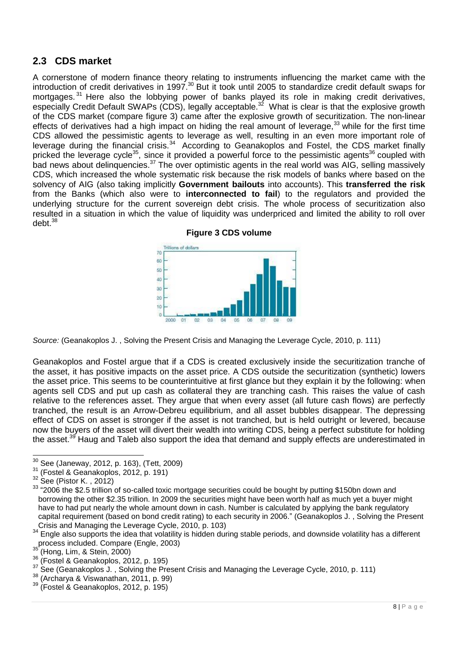### <span id="page-7-0"></span>**2.3 CDS market**

A cornerstone of modern finance theory relating to instruments influencing the market came with the introduction of credit derivatives in 1997.<sup>30</sup> But it took until 2005 to standardize credit default swaps for mortgages.<sup>31</sup> Here also the lobbying power of banks played its role in making credit derivatives, especially Credit Default SWAPs (CDS), legally acceptable.<sup>32</sup> What is clear is that the explosive growth of the CDS market (compare figure 3) came after the explosive growth of securitization. The non-linear effects of derivatives had a high impact on hiding the real amount of leverage,  $33$  while for the first time CDS allowed the pessimistic agents to leverage as well, resulting in an even more important role of leverage during the financial crisis.<sup>34</sup> According to Geanakoplos and Fostel, the CDS market finally pricked the leverage cycle<sup>35</sup>, since it provided a powerful force to the pessimistic agents<sup>36</sup> coupled with bad news about delinquencies.<sup>37</sup> The over optimistic agents in the real world was AIG, selling massively CDS, which increased the whole systematic risk because the risk models of banks where based on the solvency of AIG (also taking implicitly **Government bailouts** into accounts). This **transferred the risk** from the Banks (which also were to **interconnected to fail**) to the regulators and provided the underlying structure for the current sovereign debt crisis. The whole process of securitization also resulted in a situation in which the value of liquidity was underpriced and limited the ability to roll over  $debt.<sup>38</sup>$ 



**Figure 3 CDS volume**

<span id="page-7-1"></span>*Source:* (Geanakoplos J. , Solving the Present Crisis and Managing the Leverage Cycle, 2010, p. 111)

Geanakoplos and Fostel argue that if a CDS is created exclusively inside the securitization tranche of the asset, it has positive impacts on the asset price. A CDS outside the securitization (synthetic) lowers the asset price. This seems to be counterintuitive at first glance but they explain it by the following: when agents sell CDS and put up cash as collateral they are tranching cash. This raises the value of cash relative to the references asset. They argue that when every asset (all future cash flows) are perfectly tranched, the result is an Arrow-Debreu equilibrium, and all asset bubbles disappear. The depressing effect of CDS on asset is stronger if the asset is not tranched, but is held outright or levered, because now the buyers of the asset will divert their wealth into writing CDS, being a perfect substitute for holding the asset.<sup>39</sup> Haug and Taleb also support the idea that demand and supply effects are underestimated in

<sup>30</sup>  $\frac{30}{31}$  See (Janeway, 2012, p. 163), (Tett, 2009)

 $31$  (Fostel & Geanakoplos, 2012, p. 191)

See (Pistor K., 2012)

<sup>&</sup>lt;sup>33</sup> "2006 the \$2.5 trillion of so-called toxic mortgage securities could be bought by putting \$150bn down and borrowing the other \$2.35 trillion. In 2009 the securities might have been worth half as much yet a buyer might have to had put nearly the whole amount down in cash. Number is calculated by applying the bank regulatory capital requirement (based on bond credit rating) to each security in 2006." (Geanakoplos J. , Solving the Present Crisis and Managing the Leverage Cycle, 2010, p. 103)

<sup>&</sup>lt;sup>34</sup> Engle also supports the idea that volatility is hidden during stable periods, and downside volatility has a different process included. Compare (Engle, 2003)

 $\frac{35}{36}$  (Hong, Lim, & Stein, 2000)

 $36 \text{ (Fostel & Geanakoplos, 2012, p. 195)}$ <br> $37 \text{ Cos}$  (Connelisates L. Saking the Dra

See (Geanakoplos J., Solving the Present Crisis and Managing the Leverage Cycle, 2010, p. 111)

 $38$  (Archarya & Viswanathan, 2011, p. 99)

<sup>39</sup> (Fostel & Geanakoplos, 2012, p. 195)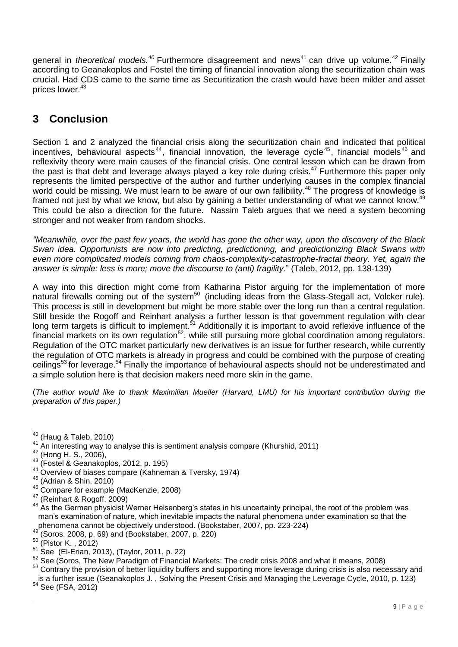general in *theoretical models.<sup>40</sup>* Furthermore disagreement and news<sup>41</sup> can drive up volume.<sup>42</sup> Finally according to Geanakoplos and Fostel the timing of financial innovation along the securitization chain was crucial. Had CDS came to the same time as Securitization the crash would have been milder and asset prices lower.<sup>43</sup>

## <span id="page-8-0"></span>**3 Conclusion**

Section 1 and 2 analyzed the financial crisis along the securitization chain and indicated that political incentives, behavioural aspects<sup>44</sup>, financial innovation, the leverage cycle<sup>45</sup>, financial models<sup>46</sup> and reflexivity theory were main causes of the financial crisis. One central lesson which can be drawn from the past is that debt and leverage always played a key role during crisis.<sup>47</sup> Furthermore this paper only represents the limited perspective of the author and further underlying causes in the complex financial world could be missing. We must learn to be aware of our own fallibility.<sup>48</sup> The progress of knowledge is framed not just by what we know, but also by gaining a better understanding of what we cannot know.<sup>49</sup> This could be also a direction for the future. Nassim Taleb argues that we need a system becoming stronger and not weaker from random shocks.

*"Meanwhile, over the past few years, the world has gone the other way, upon the discovery of the Black Swan idea. Opportunists are now into predicting, predictioning, and predictionizing Black Swans with even more complicated models coming from chaos-complexity-catastrophe-fractal theory. Yet, again the answer is simple: less is more; move the discourse to (anti) fragility*." (Taleb, 2012, pp. 138-139)

A way into this direction might come from Katharina Pistor arguing for the implementation of more natural firewalls coming out of the system<sup>50</sup> (including ideas from the Glass-Stegall act, Volcker rule). This process is still in development but might be more stable over the long run than a central regulation. Still beside the Rogoff and Reinhart analysis a further lesson is that government regulation with clear long term targets is difficult to implement.<sup>51</sup> Additionally it is important to avoid reflexive influence of the financial markets on its own regulation<sup>52</sup>, while still pursuing more global coordination among regulators. Regulation of the OTC market particularly new derivatives is an issue for further research, while currently the regulation of OTC markets is already in progress and could be combined with the purpose of creating ceilings<sup>53</sup> for leverage.<sup>54</sup> Finally the importance of behavioural aspects should not be underestimated and a simple solution here is that decision makers need more skin in the game.

(*The author would like to thank Maximilian Mueller (Harvard, LMU) for his important contribution during the preparation of this paper.)*

 $\overline{a}$ 

 $40$  (Haug & Taleb, 2010)

<sup>41</sup> An interesting way to analyse this is sentiment analysis compare (Khurshid, 2011)

 $^{42}$  (Hong H. S., 2006),

<sup>43</sup> (Fostel & Geanakoplos, 2012, p. 195)

<sup>&</sup>lt;sup>44</sup> Overview of biases compare (Kahneman & Tversky, 1974)

<sup>45</sup> (Adrian & Shin, 2010)

<sup>46</sup> Compare for example (MacKenzie, 2008)

<sup>47</sup> (Reinhart & Rogoff, 2009)

<sup>48</sup> As the German physicist Werner Heisenberg's states in his uncertainty principal, the root of the problem was man's examination of nature, which inevitable impacts the natural phenomena under examination so that the phenomena cannot be objectively understood. (Bookstaber, 2007, pp. 223-224)

<sup>49</sup> (Soros, 2008, p. 69) and (Bookstaber, 2007, p. 220)

 $50$  (Pistor K., 2012)

 $51$  See (El-Erian, 2013), (Taylor, 2011, p. 22)

 $\frac{52}{3}$  See (Soros, The New Paradigm of Financial Markets: The credit crisis 2008 and what it means, 2008) <sup>53</sup> Contrary the provision of better liquidity buffers and supporting more leverage during crisis is also necessary and

is a further issue (Geanakoplos J. , Solving the Present Crisis and Managing the Leverage Cycle, 2010, p. 123) <sup>54</sup> See (FSA, 2012)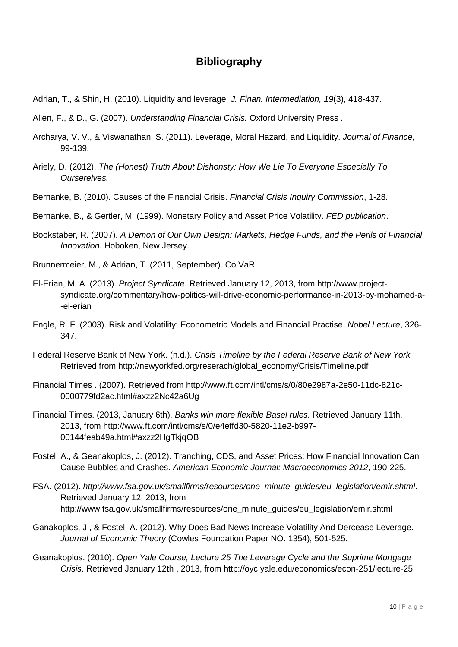## **Bibliography**

- Adrian, T., & Shin, H. (2010). Liquidity and leverage. *J. Finan. Intermediation, 19*(3), 418-437.
- Allen, F., & D., G. (2007). *Understanding Financial Crisis.* Oxford University Press .
- Archarya, V. V., & Viswanathan, S. (2011). Leverage, Moral Hazard, and Liquidity. *Journal of Finance*, 99-139.
- Ariely, D. (2012). *The (Honest) Truth About Dishonsty: How We Lie To Everyone Especially To Ourserelves.*
- Bernanke, B. (2010). Causes of the Financial Crisis. *Financial Crisis Inquiry Commission*, 1-28.
- Bernanke, B., & Gertler, M. (1999). Monetary Policy and Asset Price Volatility. *FED publication*.
- Bookstaber, R. (2007). *A Demon of Our Own Design: Markets, Hedge Funds, and the Perils of Financial Innovation.* Hoboken, New Jersey.
- Brunnermeier, M., & Adrian, T. (2011, September). Co VaR.
- El-Erian, M. A. (2013). *Project Syndicate*. Retrieved January 12, 2013, from http://www.projectsyndicate.org/commentary/how-politics-will-drive-economic-performance-in-2013-by-mohamed-a- -el-erian
- Engle, R. F. (2003). Risk and Volatility: Econometric Models and Financial Practise. *Nobel Lecture*, 326- 347.
- Federal Reserve Bank of New York. (n.d.). *Crisis Timeline by the Federal Reserve Bank of New York.* Retrieved from http://newyorkfed.org/reserach/global\_economy/Crisis/Timeline.pdf
- Financial Times . (2007). Retrieved from http://www.ft.com/intl/cms/s/0/80e2987a-2e50-11dc-821c-0000779fd2ac.html#axzz2Nc42a6Ug
- Financial Times. (2013, January 6th). *Banks win more flexible Basel rules.* Retrieved January 11th, 2013, from http://www.ft.com/intl/cms/s/0/e4effd30-5820-11e2-b997- 00144feab49a.html#axzz2HgTkjqOB
- Fostel, A., & Geanakoplos, J. (2012). Tranching, CDS, and Asset Prices: How Financial Innovation Can Cause Bubbles and Crashes. *American Economic Journal: Macroeconomics 2012*, 190-225.
- FSA. (2012). *http://www.fsa.gov.uk/smallfirms/resources/one\_minute\_guides/eu\_legislation/emir.shtml*. Retrieved January 12, 2013, from http://www.fsa.gov.uk/smallfirms/resources/one\_minute\_guides/eu\_legislation/emir.shtml
- Ganakoplos, J., & Fostel, A. (2012). Why Does Bad News Increase Volatility And Dercease Leverage. *Journal of Economic Theory* (Cowles Foundation Paper NO. 1354), 501-525.
- Geanakoplos. (2010). *Open Yale Course, Lecture 25 The Leverage Cycle and the Suprime Mortgage Crisis*. Retrieved January 12th , 2013, from http://oyc.yale.edu/economics/econ-251/lecture-25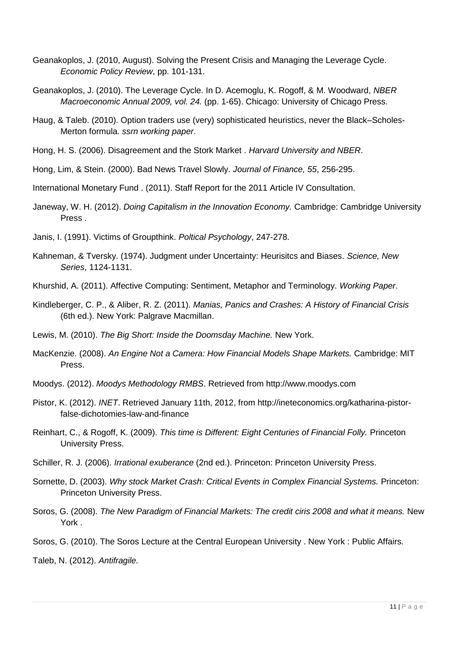- Geanakoplos, J. (2010, August). Solving the Present Crisis and Managing the Leverage Cycle. *Economic Policy Review*, pp. 101-131.
- Geanakoplos, J. (2010). The Leverage Cycle. In D. Acemoglu, K. Rogoff, & M. Woodward, *NBER Macroeconomic Annual 2009, vol. 24.* (pp. 1-65). Chicago: University of Chicago Press.
- Haug, & Taleb. (2010). Option traders use (very) sophisticated heuristics, never the Black–Scholes-Merton formula. *ssrn working paper*.
- Hong, H. S. (2006). Disagreement and the Stork Market . *Harvard University and NBER*.
- Hong, Lim, & Stein. (2000). Bad News Travel Slowly. *Journal of Finance, 55*, 256-295.
- International Monetary Fund . (2011). Staff Report for the 2011 Article IV Consultation.
- Janeway, W. H. (2012). *Doing Capitalism in the Innovation Economy.* Cambridge: Cambridge University Press .
- Janis, I. (1991). Victims of Groupthink. *Poltical Psychology*, 247-278.
- Kahneman, & Tversky. (1974). Judgment under Uncertainty: Heurisitcs and Biases. *Science, New Series*, 1124-1131.
- Khurshid, A. (2011). Affective Computing: Sentiment, Metaphor and Terminology. *Working Paper*.
- Kindleberger, C. P., & Aliber, R. Z. (2011). *Manias, Panics and Crashes: A History of Financial Crisis* (6th ed.). New York: Palgrave Macmillan.
- Lewis, M. (2010). *The Big Short: Inside the Doomsday Machine.* New York.
- MacKenzie. (2008). *An Engine Not a Camera: How Financial Models Shape Markets.* Cambridge: MIT Press.
- Moodys. (2012). *Moodys Methodology RMBS*. Retrieved from http://www.moodys.com
- Pistor, K. (2012). *INET*. Retrieved January 11th, 2012, from http://ineteconomics.org/katharina-pistorfalse-dichotomies-law-and-finance
- Reinhart, C., & Rogoff, K. (2009). *This time is Different: Eight Centuries of Financial Folly.* Princeton University Press.
- Schiller, R. J. (2006). *Irrational exuberance* (2nd ed.). Princeton: Princeton University Press.
- Sornette, D. (2003). *Why stock Market Crash: Critical Events in Complex Financial Systems.* Princeton: Princeton University Press.
- Soros, G. (2008). *The New Paradigm of Financial Markets: The credit ciris 2008 and what it means.* New York .
- Soros, G. (2010). The Soros Lecture at the Central European University . New York : Public Affairs.

Taleb, N. (2012). *Antifragile.*